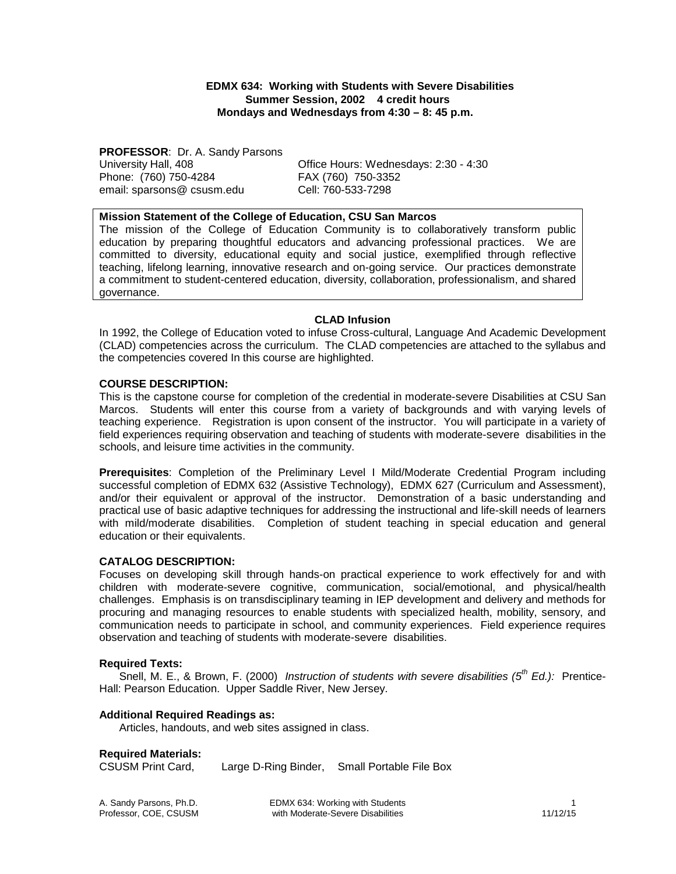**EDMX 634: Working with Students with Severe Disabilities Summer Session, 2002 4 credit hours Mondays and Wednesdays from 4:30 – 8: 45 p.m.** 

**PROFESSOR: Dr. A. Sandy Parsons**<br>University Hall, 408 Phone: (760) 750-4284 FAX (760) 750-3352 email: sparsons@ csusm.edu Cell: 760-533-7298

Office Hours: Wednesdays: 2:30 - 4:30

**Mission Statement of the College of Education, CSU San Marcos**

The mission of the College of Education Community is to collaboratively transform public education by preparing thoughtful educators and advancing professional practices. We are committed to diversity, educational equity and social justice, exemplified through reflective teaching, lifelong learning, innovative research and on-going service. Our practices demonstrate a commitment to student-centered education, diversity, collaboration, professionalism, and shared governance.

## **CLAD Infusion**

In 1992, the College of Education voted to infuse Cross-cultural, Language And Academic Development (CLAD) competencies across the curriculum. The CLAD competencies are attached to the syllabus and the competencies covered In this course are highlighted.

#### **COURSE DESCRIPTION:**

This is the capstone course for completion of the credential in moderate-severe Disabilities at CSU San Marcos. Students will enter this course from a variety of backgrounds and with varying levels of teaching experience. Registration is upon consent of the instructor. You will participate in a variety of field experiences requiring observation and teaching of students with moderate-severe disabilities in the schools, and leisure time activities in the community.

**Prerequisites**: Completion of the Preliminary Level I Mild/Moderate Credential Program including successful completion of EDMX 632 (Assistive Technology), EDMX 627 (Curriculum and Assessment), and/or their equivalent or approval of the instructor. Demonstration of a basic understanding and practical use of basic adaptive techniques for addressing the instructional and life-skill needs of learners with mild/moderate disabilities. Completion of student teaching in special education and general education or their equivalents.

#### **CATALOG DESCRIPTION:**

Focuses on developing skill through hands-on practical experience to work effectively for and with children with moderate-severe cognitive, communication, social/emotional, and physical/health challenges. Emphasis is on transdisciplinary teaming in IEP development and delivery and methods for procuring and managing resources to enable students with specialized health, mobility, sensory, and communication needs to participate in school, and community experiences. Field experience requires observation and teaching of students with moderate-severe disabilities.

#### **Required Texts:**

Snell, M. E., & Brown, F. (2000) *Instruction of students with severe disabilities (5th Ed.):* Prentice-Hall: Pearson Education. Upper Saddle River, New Jersey.

#### **Additional Required Readings as:**

Articles, handouts, and web sites assigned in class.

#### **Required Materials:**

CSUSM Print Card, Large D-Ring Binder, Small Portable File Box

A. Sandy Parsons, Ph.D. **EDMX 634: Working with Students** 1 and Parsons, Ph.D. 1<br>Professor, COE, CSUSM with Moderate-Severe Disabilities 11/12/15 with Moderate-Severe Disabilities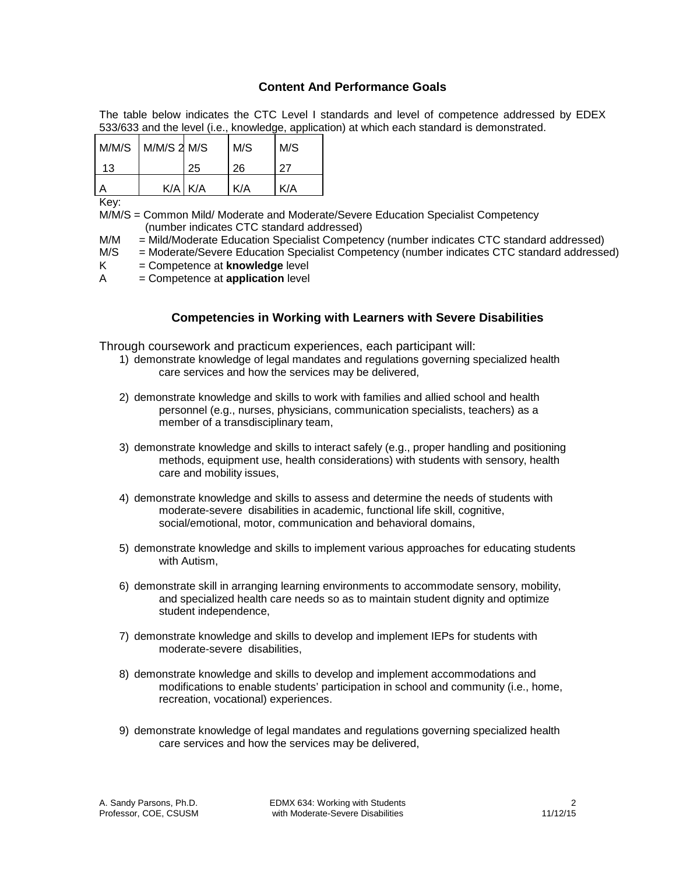## **Content And Performance Goals**

The table below indicates the CTC Level I standards and level of competence addressed by EDEX 533/633 and the level (i.e., knowledge, application) at which each standard is demonstrated.

| M/M/S M/M/S 2 M/S |             | M/S | M/S |
|-------------------|-------------|-----|-----|
| 13                | 25          | 26  | 27  |
|                   | $K/A$ $K/A$ | K/A | K/A |

Key:

M/M/S = Common Mild/ Moderate and Moderate/Severe Education Specialist Competency (number indicates CTC standard addressed)

M/M = Mild/Moderate Education Specialist Competency (number indicates CTC standard addressed)

- M/S = Moderate/Severe Education Specialist Competency (number indicates CTC standard addressed)
- K = Competence at **knowledge** level
- A = Competence at **application** level

# **Competencies in Working with Learners with Severe Disabilities**

Through coursework and practicum experiences, each participant will:

- 1) demonstrate knowledge of legal mandates and regulations governing specialized health care services and how the services may be delivered,
- 2) demonstrate knowledge and skills to work with families and allied school and health personnel (e.g., nurses, physicians, communication specialists, teachers) as a member of a transdisciplinary team,
- 3) demonstrate knowledge and skills to interact safely (e.g., proper handling and positioning methods, equipment use, health considerations) with students with sensory, health care and mobility issues,
- 4) demonstrate knowledge and skills to assess and determine the needs of students with moderate-severe disabilities in academic, functional life skill, cognitive, social/emotional, motor, communication and behavioral domains,
- 5) demonstrate knowledge and skills to implement various approaches for educating students with Autism,
- 6) demonstrate skill in arranging learning environments to accommodate sensory, mobility, and specialized health care needs so as to maintain student dignity and optimize student independence,
- 7) demonstrate knowledge and skills to develop and implement IEPs for students with moderate-severe disabilities,
- 8) demonstrate knowledge and skills to develop and implement accommodations and modifications to enable students' participation in school and community (i.e., home, recreation, vocational) experiences.
- 9) demonstrate knowledge of legal mandates and regulations governing specialized health care services and how the services may be delivered,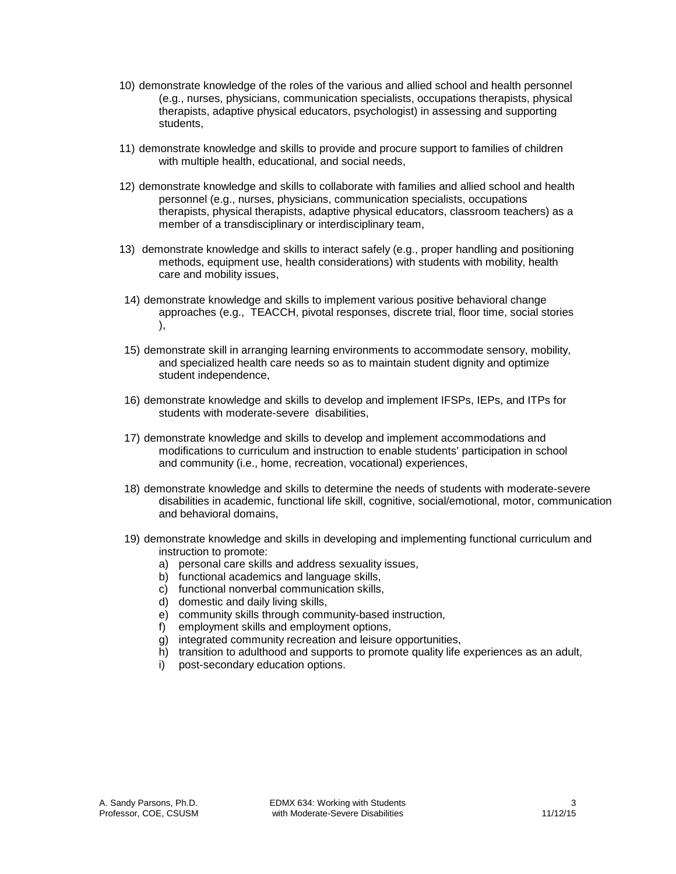- 10) demonstrate knowledge of the roles of the various and allied school and health personnel (e.g., nurses, physicians, communication specialists, occupations therapists, physical therapists, adaptive physical educators, psychologist) in assessing and supporting students,
- 11) demonstrate knowledge and skills to provide and procure support to families of children with multiple health, educational, and social needs,
- 12) demonstrate knowledge and skills to collaborate with families and allied school and health personnel (e.g., nurses, physicians, communication specialists, occupations therapists, physical therapists, adaptive physical educators, classroom teachers) as a member of a transdisciplinary or interdisciplinary team,
- 13) demonstrate knowledge and skills to interact safely (e.g., proper handling and positioning methods, equipment use, health considerations) with students with mobility, health care and mobility issues,
- 14) demonstrate knowledge and skills to implement various positive behavioral change approaches (e.g., TEACCH, pivotal responses, discrete trial, floor time, social stories ),
- 15) demonstrate skill in arranging learning environments to accommodate sensory, mobility, and specialized health care needs so as to maintain student dignity and optimize student independence,
- 16) demonstrate knowledge and skills to develop and implement IFSPs, IEPs, and ITPs for students with moderate-severe disabilities,
- 17) demonstrate knowledge and skills to develop and implement accommodations and modifications to curriculum and instruction to enable students' participation in school and community (i.e., home, recreation, vocational) experiences,
- 18) demonstrate knowledge and skills to determine the needs of students with moderate-severe disabilities in academic, functional life skill, cognitive, social/emotional, motor, communication and behavioral domains,
- 19) demonstrate knowledge and skills in developing and implementing functional curriculum and instruction to promote:
	- a) personal care skills and address sexuality issues,
	- b) functional academics and language skills,
	- c) functional nonverbal communication skills,
	- d) domestic and daily living skills,
	- e) community skills through community-based instruction,
	- f) employment skills and employment options,
	- g) integrated community recreation and leisure opportunities,
	- h) transition to adulthood and supports to promote quality life experiences as an adult,
	- i) post-secondary education options.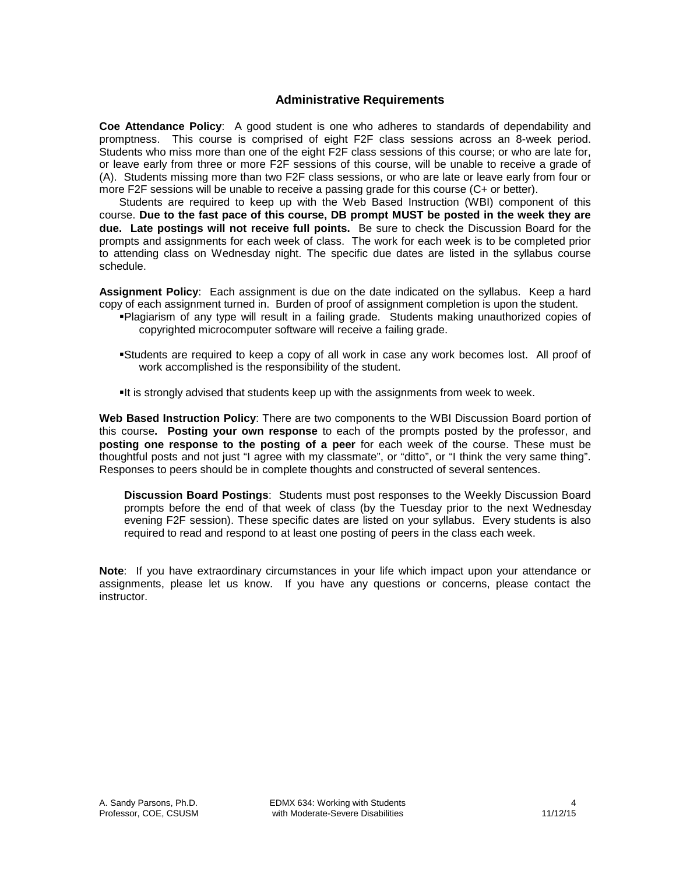## **Administrative Requirements**

**Coe Attendance Policy**: A good student is one who adheres to standards of dependability and promptness. This course is comprised of eight F2F class sessions across an 8-week period. Students who miss more than one of the eight F2F class sessions of this course; or who are late for, or leave early from three or more F2F sessions of this course, will be unable to receive a grade of (A). Students missing more than two F2F class sessions, or who are late or leave early from four or more F2F sessions will be unable to receive a passing grade for this course (C+ or better).

Students are required to keep up with the Web Based Instruction (WBI) component of this course. **Due to the fast pace of this course, DB prompt MUST be posted in the week they are due. Late postings will not receive full points.** Be sure to check the Discussion Board for the prompts and assignments for each week of class. The work for each week is to be completed prior to attending class on Wednesday night. The specific due dates are listed in the syllabus course schedule.

**Assignment Policy**: Each assignment is due on the date indicated on the syllabus. Keep a hard copy of each assignment turned in. Burden of proof of assignment completion is upon the student.

- Plagiarism of any type will result in a failing grade. Students making unauthorized copies of copyrighted microcomputer software will receive a failing grade.
- Students are required to keep a copy of all work in case any work becomes lost. All proof of work accomplished is the responsibility of the student.
- It is strongly advised that students keep up with the assignments from week to week.

**Web Based Instruction Policy**: There are two components to the WBI Discussion Board portion of this course**. Posting your own response** to each of the prompts posted by the professor, and **posting one response to the posting of a peer** for each week of the course. These must be thoughtful posts and not just "I agree with my classmate", or "ditto", or "I think the very same thing". Responses to peers should be in complete thoughts and constructed of several sentences.

**Discussion Board Postings**: Students must post responses to the Weekly Discussion Board prompts before the end of that week of class (by the Tuesday prior to the next Wednesday evening F2F session). These specific dates are listed on your syllabus. Every students is also required to read and respond to at least one posting of peers in the class each week.

**Note**: If you have extraordinary circumstances in your life which impact upon your attendance or assignments, please let us know. If you have any questions or concerns, please contact the instructor.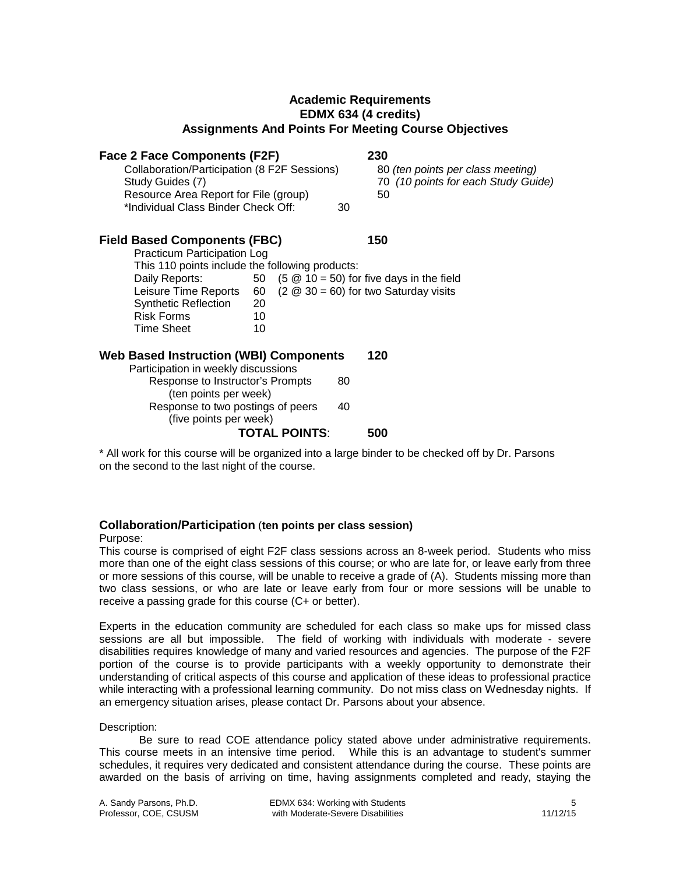## **Academic Requirements EDMX 634 (4 credits) Assignments And Points For Meeting Course Objectives**

| <b>Face 2 Face Components (F2F)</b>                                                               | 230                                                                      |
|---------------------------------------------------------------------------------------------------|--------------------------------------------------------------------------|
| Collaboration/Participation (8 F2F Sessions)<br>Study Guides (7)                                  | 80 (ten points per class meeting)<br>70 (10 points for each Study Guide) |
| Resource Area Report for File (group)                                                             | 50                                                                       |
| *Individual Class Binder Check Off:                                                               | 30                                                                       |
| <b>Field Based Components (FBC)</b>                                                               | 150                                                                      |
| Practicum Participation Log                                                                       |                                                                          |
| This 110 points include the following products:                                                   |                                                                          |
| Daily Reports:                                                                                    | 50 $(5 \t@ 10 = 50)$ for five days in the field                          |
| Leisure Time Reports                                                                              | 60 $(2 \t@ 30 = 60)$ for two Saturday visits                             |
| <b>Synthetic Reflection</b><br>20                                                                 |                                                                          |
| <b>Risk Forms</b><br>10                                                                           |                                                                          |
| <b>Time Sheet</b><br>10                                                                           |                                                                          |
| <b>Web Based Instruction (WBI) Components</b>                                                     | 120                                                                      |
| Participation in weekly discussions                                                               |                                                                          |
| Response to Instructor's Prompts<br>(ten points per week)                                         | 80                                                                       |
| Response to two postings of peers<br>(five points per week)                                       | 40                                                                       |
| <b>TOTAL POINTS:</b>                                                                              | 500                                                                      |
| * All work for this course will be organized into a large binder to be checked off by Dr. Parsons |                                                                          |

# **Collaboration/Participation** (**ten points per class session)**

on the second to the last night of the course.

#### Purpose:

This course is comprised of eight F2F class sessions across an 8-week period. Students who miss more than one of the eight class sessions of this course; or who are late for, or leave early from three or more sessions of this course, will be unable to receive a grade of (A). Students missing more than two class sessions, or who are late or leave early from four or more sessions will be unable to receive a passing grade for this course (C+ or better).

Experts in the education community are scheduled for each class so make ups for missed class sessions are all but impossible. The field of working with individuals with moderate - severe disabilities requires knowledge of many and varied resources and agencies. The purpose of the F2F portion of the course is to provide participants with a weekly opportunity to demonstrate their understanding of critical aspects of this course and application of these ideas to professional practice while interacting with a professional learning community. Do not miss class on Wednesday nights. If an emergency situation arises, please contact Dr. Parsons about your absence.

#### Description:

Be sure to read COE attendance policy stated above under administrative requirements. This course meets in an intensive time period. While this is an advantage to student's summer schedules, it requires very dedicated and consistent attendance during the course. These points are awarded on the basis of arriving on time, having assignments completed and ready, staying the

A. Sandy Parsons, Ph.D. **EDMX 634: Working with Students** 5<br>Professor, COE, CSUSM with Moderate-Severe Disabilities 5 with Moderate-Severe Disabilities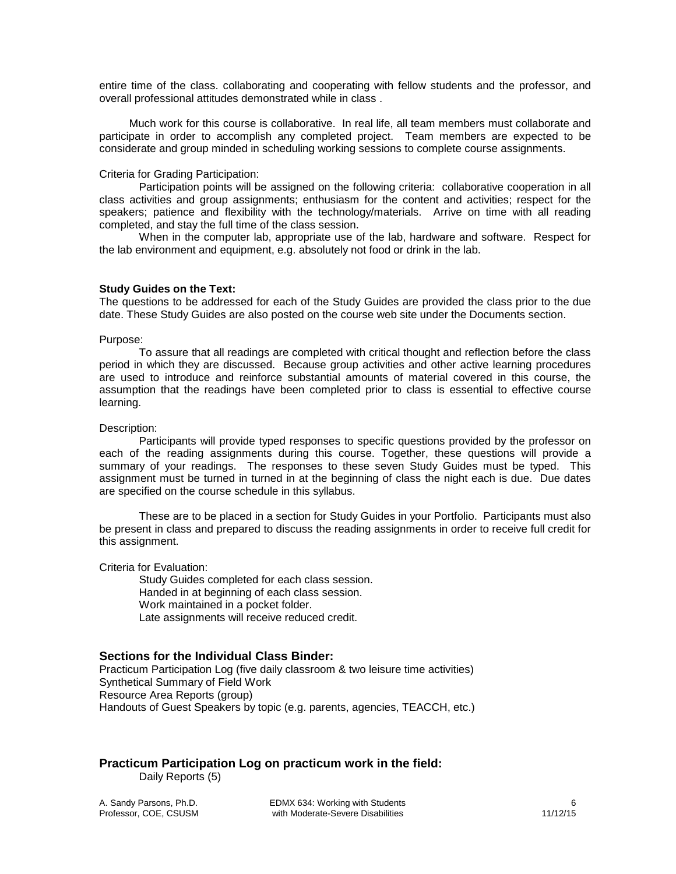entire time of the class. collaborating and cooperating with fellow students and the professor, and overall professional attitudes demonstrated while in class .

Much work for this course is collaborative. In real life, all team members must collaborate and participate in order to accomplish any completed project. Team members are expected to be considerate and group minded in scheduling working sessions to complete course assignments.

#### Criteria for Grading Participation:

Participation points will be assigned on the following criteria: collaborative cooperation in all class activities and group assignments; enthusiasm for the content and activities; respect for the speakers; patience and flexibility with the technology/materials. Arrive on time with all reading completed, and stay the full time of the class session.

When in the computer lab, appropriate use of the lab, hardware and software. Respect for the lab environment and equipment, e.g. absolutely not food or drink in the lab.

#### **Study Guides on the Text:**

The questions to be addressed for each of the Study Guides are provided the class prior to the due date. These Study Guides are also posted on the course web site under the Documents section.

#### Purpose:

To assure that all readings are completed with critical thought and reflection before the class period in which they are discussed. Because group activities and other active learning procedures are used to introduce and reinforce substantial amounts of material covered in this course, the assumption that the readings have been completed prior to class is essential to effective course learning.

#### Description:

Participants will provide typed responses to specific questions provided by the professor on each of the reading assignments during this course. Together, these questions will provide a summary of your readings. The responses to these seven Study Guides must be typed. This assignment must be turned in turned in at the beginning of class the night each is due. Due dates are specified on the course schedule in this syllabus.

These are to be placed in a section for Study Guides in your Portfolio. Participants must also be present in class and prepared to discuss the reading assignments in order to receive full credit for this assignment.

#### Criteria for Evaluation:

Study Guides completed for each class session. Handed in at beginning of each class session. Work maintained in a pocket folder. Late assignments will receive reduced credit.

#### **Sections for the Individual Class Binder:**

Practicum Participation Log (five daily classroom & two leisure time activities) Synthetical Summary of Field Work Resource Area Reports (group) Handouts of Guest Speakers by topic (e.g. parents, agencies, TEACCH, etc.)

## **Practicum Participation Log on practicum work in the field:**

Daily Reports (5)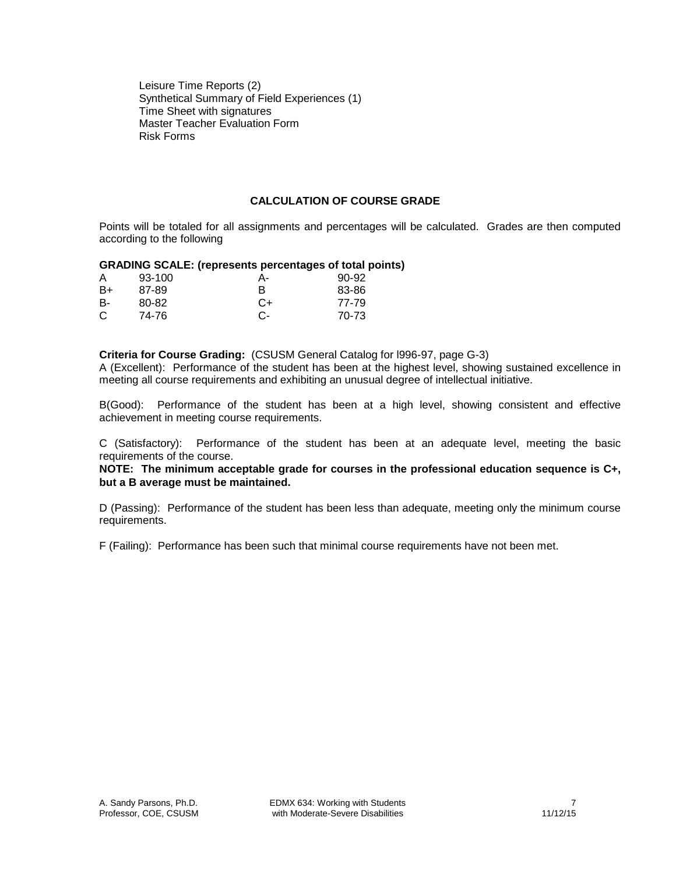Leisure Time Reports (2) Synthetical Summary of Field Experiences (1) Time Sheet with signatures Master Teacher Evaluation Form Risk Forms

## **CALCULATION OF COURSE GRADE**

Points will be totaled for all assignments and percentages will be calculated. Grades are then computed according to the following

#### **GRADING SCALE: (represents percentages of total points)**

| A  | 93-100 | А- | 90-92 |
|----|--------|----|-------|
| B+ | 87-89  | в  | 83-86 |
| в- | 80-82  | C+ | 77-79 |
| C  | 74-76  | C- | 70-73 |

#### **Criteria for Course Grading:** (CSUSM General Catalog for l996-97, page G-3)

A (Excellent): Performance of the student has been at the highest level, showing sustained excellence in meeting all course requirements and exhibiting an unusual degree of intellectual initiative.

B(Good): Performance of the student has been at a high level, showing consistent and effective achievement in meeting course requirements.

C (Satisfactory): Performance of the student has been at an adequate level, meeting the basic requirements of the course.

**NOTE: The minimum acceptable grade for courses in the professional education sequence is C+, but a B average must be maintained.**

D (Passing): Performance of the student has been less than adequate, meeting only the minimum course requirements.

F (Failing): Performance has been such that minimal course requirements have not been met.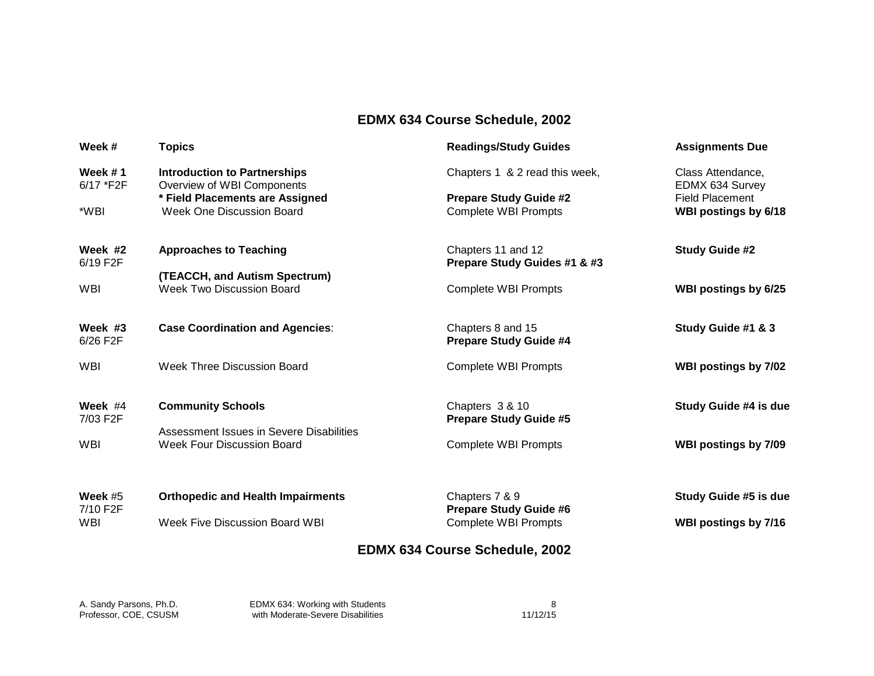# **EDMX 634 Course Schedule, 2002**

| Week#                | <b>Topics</b>                                                     | <b>Readings/Study Guides</b>          | <b>Assignments Due</b>               |
|----------------------|-------------------------------------------------------------------|---------------------------------------|--------------------------------------|
| Week #1<br>6/17 *F2F | <b>Introduction to Partnerships</b><br>Overview of WBI Components | Chapters 1 & 2 read this week,        | Class Attendance,<br>EDMX 634 Survey |
|                      | * Field Placements are Assigned                                   | <b>Prepare Study Guide #2</b>         | <b>Field Placement</b>               |
| *WBI                 | Week One Discussion Board                                         | <b>Complete WBI Prompts</b>           | WBI postings by 6/18                 |
| Week #2              | <b>Approaches to Teaching</b>                                     | Chapters 11 and 12                    | <b>Study Guide #2</b>                |
| 6/19 F2F             |                                                                   | Prepare Study Guides #1 & #3          |                                      |
|                      | (TEACCH, and Autism Spectrum)                                     |                                       |                                      |
| WBI                  | <b>Week Two Discussion Board</b>                                  | <b>Complete WBI Prompts</b>           | WBI postings by 6/25                 |
| Week #3              | <b>Case Coordination and Agencies:</b>                            | Chapters 8 and 15                     | Study Guide #1 & 3                   |
| 6/26 F2F             |                                                                   | <b>Prepare Study Guide #4</b>         |                                      |
| WBI                  | Week Three Discussion Board                                       | <b>Complete WBI Prompts</b>           | WBI postings by 7/02                 |
| Week $#4$            | <b>Community Schools</b>                                          | Chapters 3 & 10                       | Study Guide #4 is due                |
| 7/03 F2F             |                                                                   | <b>Prepare Study Guide #5</b>         |                                      |
|                      | Assessment Issues in Severe Disabilities                          |                                       |                                      |
| <b>WBI</b>           | <b>Week Four Discussion Board</b>                                 | <b>Complete WBI Prompts</b>           | WBI postings by 7/09                 |
| Week $#5$            | <b>Orthopedic and Health Impairments</b>                          | Chapters 7 & 9                        | Study Guide #5 is due                |
| 7/10 F2F             |                                                                   | <b>Prepare Study Guide #6</b>         |                                      |
| <b>WBI</b>           | Week Five Discussion Board WBI                                    | <b>Complete WBI Prompts</b>           | WBI postings by 7/16                 |
|                      |                                                                   | <b>EDMX 634 Course Schedule, 2002</b> |                                      |